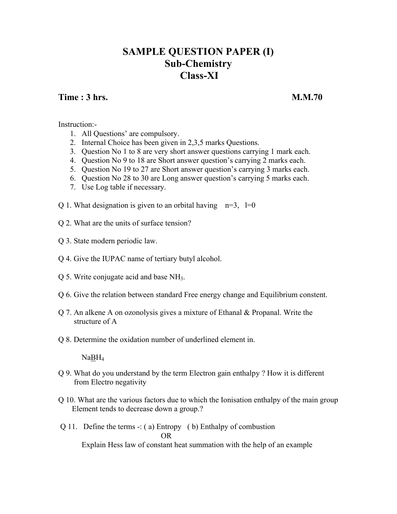### **SAMPLE QUESTION PAPER (I) Sub-Chemistry Class-XI**

### **Time : 3 hrs. M.M.70**

Instruction:-

- 1. All Questions' are compulsory.
- 2. Internal Choice has been given in 2,3,5 marks Questions.
- 3. Question No 1 to 8 are very short answer questions carrying 1 mark each.
- 4. Question No 9 to 18 are Short answer question's carrying 2 marks each.
- 5. Question No 19 to 27 are Short answer question's carrying 3 marks each.
- 6. Question No 28 to 30 are Long answer question's carrying 5 marks each.
- 7. Use Log table if necessary.
- Q 1. What designation is given to an orbital having  $n=3$ , l=0
- Q 2. What are the units of surface tension?
- Q 3. State modern periodic law.
- Q 4. Give the IUPAC name of tertiary butyl alcohol.
- Q 5. Write conjugate acid and base NH3.
- Q 6. Give the relation between standard Free energy change and Equilibrium constent.
- Q 7. An alkene A on ozonolysis gives a mixture of Ethanal & Propanal. Write the structure of A
- Q 8. Determine the oxidation number of underlined element in.

NaBH4

- Q 9. What do you understand by the term Electron gain enthalpy ? How it is different from Electro negativity
- Q 10. What are the various factors due to which the Ionisation enthalpy of the main group Element tends to decrease down a group.?
- Q 11. Define the terms -: ( a) Entropy ( b) Enthalpy of combustion OR Explain Hess law of constant heat summation with the help of an example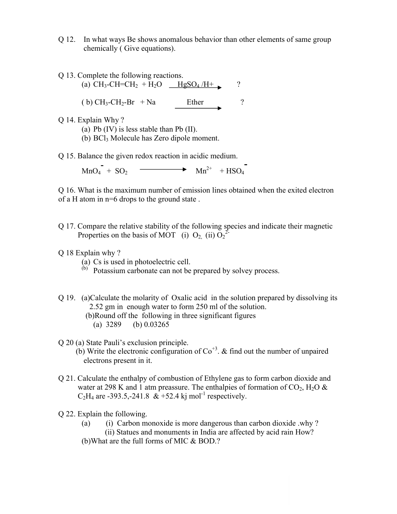- Q 12. In what ways Be shows anomalous behavior than other elements of same group chemically ( Give equations).
- Q 13. Complete the following reactions.

(a)  $CH_3$ -CH=CH<sub>2</sub> + H<sub>2</sub>O  $-HgSO_4/H$ + ? ( b)  $CH_3-CH_2-Br$  + Na Ether ?

- Q 14. Explain Why ?
	- (a) Pb (IV) is less stable than Pb (II).
	- (b) BCl3 Molecule has Zero dipole moment.

Q 15. Balance the given redox reaction in acidic medium.

 $MnO_4 + SO_2 \longrightarrow Mn^{2+} + HSO_4$ 

Q 16. What is the maximum number of emission lines obtained when the exited electron of a H atom in n=6 drops to the ground state .

Q 17. Compare the relative stability of the following species and indicate their magnetic Properties on the basis of MOT (i)  $O_2$ , (ii)  $O_2^{2^2}$ 

#### Q 18 Explain why ?

- (a) Cs is used in photoelectric cell.
- $\phi$ <sup>(b)</sup> Potassium carbonate can not be prepared by solvey process.
- Q 19. (a)Calculate the molarity of Oxalic acid in the solution prepared by dissolving its 2.52 gm in enough water to form 250 ml of the solution. (b)Round off the following in three significant figures
	- (a) 3289 (b) 0.03265
- Q 20 (a) State Pauli's exclusion principle.
	- (b) Write the electronic configuration of  $\text{Co}^{+3}$ . & find out the number of unpaired electrons present in it.
- Q 21. Calculate the enthalpy of combustion of Ethylene gas to form carbon dioxide and water at 298 K and 1 atm preassure. The enthalpies of formation of  $CO_2$ , H<sub>2</sub>O &  $C_2H_4$  are -393.5,-241.8 & +52.4 kj mol<sup>-1</sup> respectively.
- Q 22. Explain the following.
	- (a) (i) Carbon monoxide is more dangerous than carbon dioxide .why ? (ii) Statues and monuments in India are affected by acid rain How?
	- (b)What are the full forms of MIC & BOD.?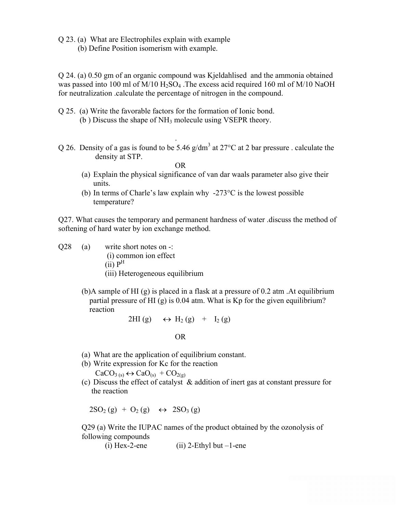- Q 23. (a) What are Electrophiles explain with example
	- (b) Define Position isomerism with example.

Q 24. (a) 0.50 gm of an organic compound was Kjeldahlised and the ammonia obtained was passed into 100 ml of  $M/10 H<sub>2</sub>SO<sub>4</sub>$ . The excess acid required 160 ml of  $M/10 N<sub>4</sub>OH$ for neutralization .calculate the percentage of nitrogen in the compound.

- Q 25. (a) Write the favorable factors for the formation of Ionic bond. (b ) Discuss the shape of NH3 molecule using VSEPR theory.
- . Q 26. Density of a gas is found to be 5.46 g/dm<sup>3</sup> at 27<sup>o</sup>C at 2 bar pressure . calculate the density at STP.

OR

- (a) Explain the physical significance of van dar waals parameter also give their units.
- (b) In terms of Charle's law explain why  $-273^{\circ}$ C is the lowest possible temperature?

Q27. What causes the temporary and permanent hardness of water .discuss the method of softening of hard water by ion exchange method.

- Q28 (a) write short notes on -:
	- (i) common ion effect
	- $(ii)$   $P^H$
	- (iii) Heterogeneous equilibrium
	- (b)A sample of HI (g) is placed in a flask at a pressure of 0.2 atm .At equilibrium partial pressure of HI (g) is 0.04 atm. What is Kp for the given equilibrium? reaction

$$
2\mathrm{HI}\left(g\right)\quad \leftrightarrow\ \mathrm{H}_{2}\left(g\right)\quad +\quad \mathrm{I}_{2}\left(g\right)
$$

#### OR

- (a) What are the application of equilibrium constant.
- (b) Write expression for Kc for the reaction

 $CaCO<sub>3 (s)</sub> \leftrightarrow CaO<sub>(s)</sub> + CO<sub>2(g)</sub>$ 

(c) Discuss the effect of catalyst & addition of inert gas at constant pressure for the reaction

 $2SO_2(g) + O_2(g) \leftrightarrow 2SO_3(g)$ 

Q29 (a) Write the IUPAC names of the product obtained by the ozonolysis of following compounds

(i) Hex-2-ene  $(i)$  2-Ethyl but –1-ene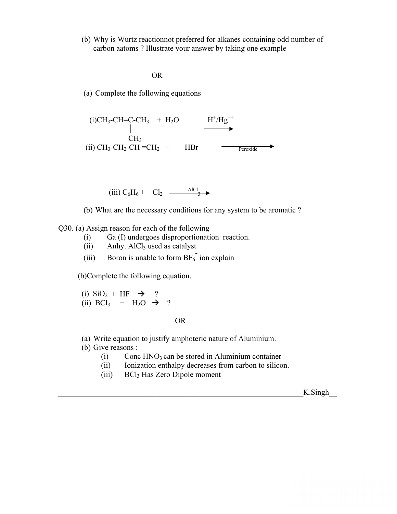(b) Why is Wurtz reactionnot preferred for alkanes containing odd number of carbon aatoms ? Illustrate your answer by taking one example

OR

(a) Complete the following equations

(i)CH<sub>3</sub>-CH=C-CH<sub>3</sub> + H<sub>2</sub>O 
$$
H^{\dagger}/Hg^{\dagger\dagger}
$$
CH<sub>3</sub> 
$$
CH_3
$$
 (ii) CH<sub>3</sub>-CH<sub>2</sub>-CH =CH<sub>2</sub> + HBr

(iii)  $C_6H_6 + Cl_2 \frac{AICl_3}{3}$ 

(b) What are the necessary conditions for any system to be aromatic ?

Q30. (a) Assign reason for each of the following

- (i) Ga (I) undergoes disproportionation reaction.
- $(ii)$  Anhy. AlCl<sub>3</sub> used as catalyst
- (iii) Boron is unable to form  $BF_6$ <sup>-</sup> ion explain

(b)Complete the following equation.

(i)  $\text{SiO}_2 + \text{HF} \rightarrow ?$ (ii) BCl<sub>3</sub> + H<sub>2</sub>O  $\rightarrow$  ?

OR

- (a) Write equation to justify amphoteric nature of Aluminium.
- (b) Give reasons :
	- $(i)$  Conc HNO<sub>3</sub> can be stored in Aluminium container
	- (ii) Ionization enthalpy decreases from carbon to silicon.
	- (iii) BCl3 Has Zero Dipole moment

 $K$ . Singh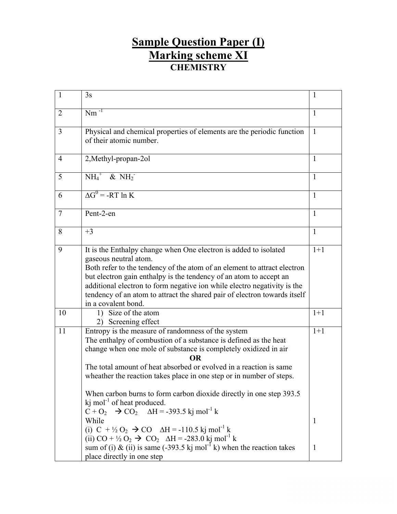# **Sample Question Paper (I) Marking scheme XI CHEMISTRY**

| $\mathbf{1}$   | 3s                                                                                                                                                                                                                                                                                                                                                                                                                          | 1            |
|----------------|-----------------------------------------------------------------------------------------------------------------------------------------------------------------------------------------------------------------------------------------------------------------------------------------------------------------------------------------------------------------------------------------------------------------------------|--------------|
| 2              | $Nm^{-1}$                                                                                                                                                                                                                                                                                                                                                                                                                   | 1            |
| 3              | Physical and chemical properties of elements are the periodic function<br>of their atomic number.                                                                                                                                                                                                                                                                                                                           | $\mathbf{1}$ |
| $\overline{4}$ | 2, Methyl-propan-2ol                                                                                                                                                                                                                                                                                                                                                                                                        | $\mathbf{1}$ |
| 5              | $\overline{\text{NH}_4}^+$ & $\overline{\text{NH}_2}^-$                                                                                                                                                                                                                                                                                                                                                                     | $\mathbf{1}$ |
| 6              | $\Delta G^0$ = -RT ln K                                                                                                                                                                                                                                                                                                                                                                                                     | 1            |
| $\overline{7}$ | Pent-2-en                                                                                                                                                                                                                                                                                                                                                                                                                   | $\mathbf{1}$ |
| 8              | $+3$                                                                                                                                                                                                                                                                                                                                                                                                                        | $\mathbf{1}$ |
| 9              | It is the Enthalpy change when One electron is added to isolated<br>gaseous neutral atom.<br>Both refer to the tendency of the atom of an element to attract electron<br>but electron gain enthalpy is the tendency of an atom to accept an<br>additional electron to form negative ion while electro negativity is the<br>tendency of an atom to attract the shared pair of electron towards itself<br>in a covalent bond. | $1+1$        |
| 10             | 1) Size of the atom<br>2) Screening effect                                                                                                                                                                                                                                                                                                                                                                                  | $1+1$        |
| 11             | Entropy is the measure of randomness of the system<br>The enthalpy of combustion of a substance is defined as the heat<br>change when one mole of substance is completely oxidized in air<br>OR<br>The total amount of heat absorbed or evolved in a reaction is same<br>wheather the reaction takes place in one step or in number of steps.                                                                               | $1+1$        |
|                | When carbon burns to form carbon dioxide directly in one step 393.5<br>$k$ mol <sup>-1</sup> of heat produced.<br>$C + O_2$ $\rightarrow$ $CO_2$ $\Delta H = -393.5$ kj mol <sup>-1</sup> k<br>While<br>(i) $C + \frac{1}{2}O_2 \rightarrow CO$ $\Delta H = -110.5$ kj mol <sup>-1</sup> k                                                                                                                                  | 1            |
|                | (ii) CO + $\frac{1}{2}$ O <sub>2</sub> $\rightarrow$ CO <sub>2</sub> $\Delta H = -283.0$ kj mol <sup>-1</sup> k<br>sum of (i) & (ii) is same (-393.5 kj mol <sup>-1</sup> k) when the reaction takes<br>place directly in one step                                                                                                                                                                                          | $\mathbf{1}$ |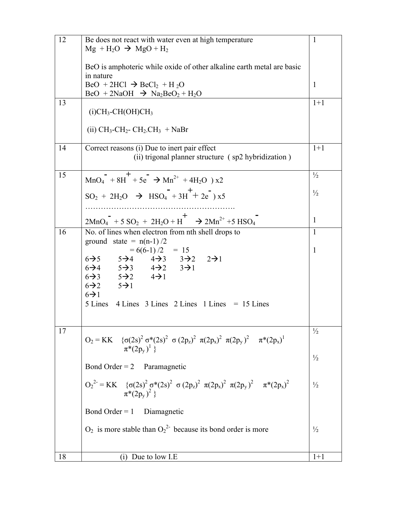| 12 | Be does not react with water even at high temperature                                                                                                                                                            | $\mathbf{1}$  |
|----|------------------------------------------------------------------------------------------------------------------------------------------------------------------------------------------------------------------|---------------|
|    | $Mg + H_2O \rightarrow MgO + H_2$                                                                                                                                                                                |               |
|    | BeO is amphoteric while oxide of other alkaline earth metal are basic                                                                                                                                            |               |
|    | in nature                                                                                                                                                                                                        |               |
|    | $BeO + 2HCl \rightarrow BeCl_2 + H_2O$                                                                                                                                                                           | 1             |
|    | $BeO + 2NaOH \rightarrow Na2BeO2 + H2O$                                                                                                                                                                          |               |
| 13 | $(i)CH_3-CH(OH)CH_3$                                                                                                                                                                                             | $1+1$         |
|    |                                                                                                                                                                                                                  |               |
|    | (ii) $CH_3$ -CH <sub>2</sub> -CH <sub>2</sub> -CH <sub>2</sub> + NaBr                                                                                                                                            |               |
| 14 | Correct reasons (i) Due to inert pair effect                                                                                                                                                                     | $1+1$         |
|    | (ii) trigonal planner structure (sp2 hybridization)                                                                                                                                                              |               |
| 15 | $+$                                                                                                                                                                                                              | $\frac{1}{2}$ |
|    | $MnO_4$ + 8H + 5e $\rightarrow$ Mn <sup>2+</sup> + 4H <sub>2</sub> O ) x2                                                                                                                                        |               |
|    | $SO_2 + 2H_2O \rightarrow HSO_4 + 3H^+ + 2e^-$ x5                                                                                                                                                                | $\frac{1}{2}$ |
|    |                                                                                                                                                                                                                  |               |
|    | $2MnO_4 + 5SO_2 + 2H_2O + H^+ \rightarrow 2Mn^{2+} + 5HSO_4$                                                                                                                                                     | 1             |
| 16 | No. of lines when electron from nth shell drops to                                                                                                                                                               | $\mathbf{1}$  |
|    | ground state = $n(n-1)/2$                                                                                                                                                                                        |               |
|    | $= 6(6-1)/2 = 15$                                                                                                                                                                                                | $\mathbf{1}$  |
|    | $6\rightarrow 5$ $5\rightarrow 4$ $4\rightarrow 3$ $3\rightarrow 2$ $2\rightarrow 1$<br>$6\rightarrow 4$ $5\rightarrow 3$ $4\rightarrow 2$ $3\rightarrow 1$                                                      |               |
|    | $6\rightarrow 3$ $5\rightarrow 2$ $4\rightarrow 1$                                                                                                                                                               |               |
|    | $6\rightarrow 2$ $5\rightarrow 1$                                                                                                                                                                                |               |
|    | $6\rightarrow 1$                                                                                                                                                                                                 |               |
|    | 5 Lines<br>$4$ Lines $3$ Lines $2$ Lines $1$ Lines $= 15$ Lines                                                                                                                                                  |               |
|    |                                                                                                                                                                                                                  |               |
| 17 |                                                                                                                                                                                                                  | $\frac{1}{2}$ |
|    | $O_2 = KK$ {σ(2s) <sup>2</sup> σ*(2s) <sup>2</sup> σ(2p <sub>z</sub> ) <sup>2</sup> π(2p <sub>x</sub> ) <sup>2</sup> π(2p <sub>y</sub> ) <sup>2</sup> π*(2p <sub>x</sub> ) <sup>1</sup><br>$\pi^*(2p_v)^{\perp}$ |               |
|    |                                                                                                                                                                                                                  | $\frac{1}{2}$ |
|    | Bond Order = $2$<br>Paramagnetic                                                                                                                                                                                 |               |
|    | $O_2^{2} = KK \{ \sigma(2s)^2 \sigma^*(2s)^2 \sigma (2p_z)^2 \pi (2p_x)^2 \pi (2p_y)^2 \pi^*(2p_x)^2 \}$                                                                                                         | $\frac{1}{2}$ |
|    | $\pi^*(2p_v)^2$                                                                                                                                                                                                  |               |
|    | Bond Order = $1$ Diamagnetic                                                                                                                                                                                     |               |
|    |                                                                                                                                                                                                                  |               |
|    | $O_2$ is more stable than $O_2^2$ because its bond order is more                                                                                                                                                 | $\frac{1}{2}$ |
|    |                                                                                                                                                                                                                  |               |
| 18 | $(i)$ Due to low I.E                                                                                                                                                                                             | $1+1$         |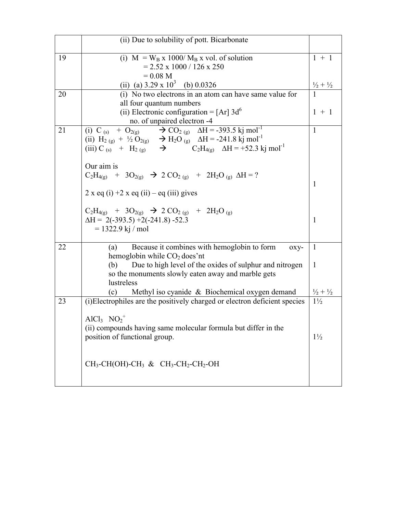|    | (ii) Due to solubility of pott. Bicarbonate                                                                                                                                                                                                                    |                             |
|----|----------------------------------------------------------------------------------------------------------------------------------------------------------------------------------------------------------------------------------------------------------------|-----------------------------|
| 19 | (i) $M = W_B x 1000/M_B x$ vol. of solution<br>$= 2.52 \times 1000 / 126 \times 250$                                                                                                                                                                           | $1 + 1$                     |
|    | $= 0.08 M$<br>(ii) (a) $3.29 \times 10^3$ (b) 0.0326                                                                                                                                                                                                           | $\frac{1}{2} + \frac{1}{2}$ |
| 20 | (i) No two electrons in an atom can have same value for                                                                                                                                                                                                        |                             |
|    | all four quantum numbers                                                                                                                                                                                                                                       |                             |
|    | (ii) Electronic configuration = $[Ar]$ 3d <sup>6</sup>                                                                                                                                                                                                         | $1 + 1$                     |
|    | no. of unpaired electron -4                                                                                                                                                                                                                                    |                             |
| 21 | (i) C (s) + O <sub>2(g)</sub> $\rightarrow$ CO <sub>2(g)</sub> $\Delta H = -393.5$ kj mol <sup>-1</sup>                                                                                                                                                        | $\mathbf{1}$                |
|    | (ii) H <sub>2 (g)</sub> + $\frac{1}{2}$ O <sub>2(g)</sub> $\rightarrow$ H <sub>2</sub> O (g) $\Delta H = -241.8 \text{ kj mol}^{-1}$<br>(iii) C (s) + H <sub>2 (g)</sub> $\rightarrow$ C <sub>2</sub> H <sub>4(g)</sub> $\Delta H = +52.3 \text{ kj mol}^{-1}$ |                             |
|    |                                                                                                                                                                                                                                                                |                             |
|    | Our aim is                                                                                                                                                                                                                                                     |                             |
|    | $C_2H_{4(g)}$ + 3O <sub>2(g)</sub> $\rightarrow$ 2 CO <sub>2(g)</sub> + 2H <sub>2</sub> O <sub>(g)</sub> $\Delta H = ?$                                                                                                                                        |                             |
|    |                                                                                                                                                                                                                                                                | 1                           |
|    | $2 \times$ eq (i) +2 x eq (ii) – eq (iii) gives                                                                                                                                                                                                                |                             |
|    | $C_2H_{4(g)}$ + 3O <sub>2(g)</sub> $\rightarrow$ 2 CO <sub>2(g)</sub> + 2H <sub>2</sub> O <sub>(g)</sub>                                                                                                                                                       |                             |
|    | $\Delta H = 2(-393.5) + 2(-241.8) - 52.3$                                                                                                                                                                                                                      | $\mathbf{1}$                |
|    | $= 1322.9$ kj / mol                                                                                                                                                                                                                                            |                             |
| 22 | Because it combines with hemoglobin to form<br>(a)                                                                                                                                                                                                             | $\mathbf{1}$                |
|    | $0XY-$<br>hemoglobin while $CO2$ does'nt                                                                                                                                                                                                                       |                             |
|    | Due to high level of the oxides of sulphur and nitrogen<br>(b)                                                                                                                                                                                                 | $\mathbf{1}$                |
|    | so the monuments slowly eaten away and marble gets                                                                                                                                                                                                             |                             |
|    | lustreless                                                                                                                                                                                                                                                     |                             |
|    | Methyl iso cyanide & Biochemical oxygen demand<br>(c)                                                                                                                                                                                                          | $\frac{1}{2} + \frac{1}{2}$ |
| 23 | (i)Electrophiles are the positively charged or electron deficient species                                                                                                                                                                                      | $1\frac{1}{2}$              |
|    | $AlCl3 NO2+$                                                                                                                                                                                                                                                   |                             |
|    | (ii) compounds having same molecular formula but differ in the                                                                                                                                                                                                 |                             |
|    | position of functional group.                                                                                                                                                                                                                                  | $1\frac{1}{2}$              |
|    |                                                                                                                                                                                                                                                                |                             |
|    |                                                                                                                                                                                                                                                                |                             |
|    | $CH_3$ -CH(OH)-CH <sub>3</sub> & CH <sub>3</sub> -CH <sub>2</sub> -CH <sub>2</sub> -OH                                                                                                                                                                         |                             |
|    |                                                                                                                                                                                                                                                                |                             |
|    |                                                                                                                                                                                                                                                                |                             |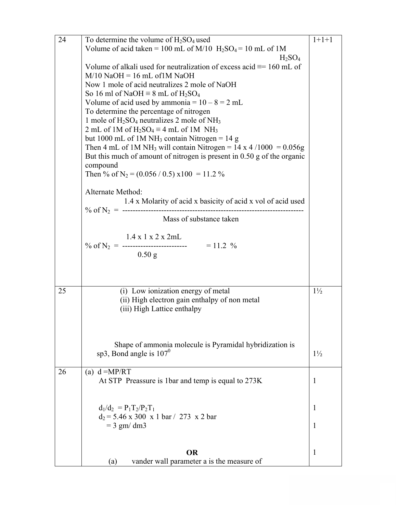| 24 | To determine the volume of $H_2SO_4$ used                                             | $1+1+1$        |
|----|---------------------------------------------------------------------------------------|----------------|
|    | Volume of acid taken = 100 mL of M/10 $H_2SO_4 = 10$ mL of 1M                         |                |
|    | $H_2SO_4$                                                                             |                |
|    | Volume of alkali used for neutralization of excess acid $\equiv$ 160 mL of            |                |
|    | $M/10$ NaOH = 16 mL of 1M NaOH                                                        |                |
|    | Now 1 mole of acid neutralizes 2 mole of NaOH                                         |                |
|    | So 16 ml of NaOH $\equiv$ 8 mL of H <sub>2</sub> SO <sub>4</sub>                      |                |
|    | Volume of acid used by ammonia = $10 - 8 = 2$ mL                                      |                |
|    | To determine the percentage of nitrogen                                               |                |
|    |                                                                                       |                |
|    | 1 mole of $H_2SO_4$ neutralizes 2 mole of NH <sub>3</sub>                             |                |
|    | 2 mL of 1M of $H_2SO_4 \equiv 4$ mL of 1M NH <sub>3</sub>                             |                |
|    | but 1000 mL of 1M NH <sub>3</sub> contain Nitrogen = 14 g                             |                |
|    | Then 4 mL of 1M NH <sub>3</sub> will contain Nitrogen = $14 \times 4 / 1000 = 0.056g$ |                |
|    | But this much of amount of nitrogen is present in $0.50$ g of the organic             |                |
|    | compound                                                                              |                |
|    | Then % of N <sub>2</sub> = $(0.056 / 0.5)$ x100 = 11.2 %                              |                |
|    |                                                                                       |                |
|    | Alternate Method:                                                                     |                |
|    | 1.4 x Molarity of acid x basicity of acid x vol of acid used                          |                |
|    | % of $N_2$ = ---------------------------                                              |                |
|    | Mass of substance taken                                                               |                |
|    |                                                                                       |                |
|    | $1.4 \times 1 \times 2 \times 2$ mL                                                   |                |
|    |                                                                                       |                |
|    | $0.50$ g                                                                              |                |
|    |                                                                                       |                |
|    |                                                                                       |                |
|    |                                                                                       |                |
| 25 | (i) Low ionization energy of metal                                                    | $1\frac{1}{2}$ |
|    | (ii) High electron gain enthalpy of non metal                                         |                |
|    | (iii) High Lattice enthalpy                                                           |                |
|    |                                                                                       |                |
|    |                                                                                       |                |
|    |                                                                                       |                |
|    | Shape of ammonia molecule is Pyramidal hybridization is                               |                |
|    | sp3, Bond angle is $107^0$                                                            | $1\frac{1}{2}$ |
|    |                                                                                       |                |
| 26 | (a) $d = MP/RT$                                                                       |                |
|    | At STP Preassure is 1bar and temp is equal to 273K                                    | 1              |
|    |                                                                                       |                |
|    |                                                                                       |                |
|    | $d_1/d_2 = P_1T_2/P_2T_1$                                                             | 1              |
|    | $d_2 = 5.46 \times 300 \times 1$ bar / 273 x 2 bar                                    |                |
|    | $=$ 3 gm/ dm3                                                                         | 1              |
|    |                                                                                       |                |
|    |                                                                                       |                |
|    | <b>OR</b>                                                                             | 1              |
|    | vander wall parameter a is the measure of<br>(a)                                      |                |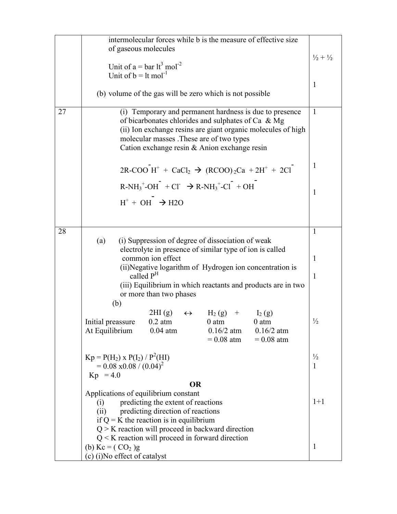|    | intermolecular forces while b is the measure of effective size                                                                                                                                                                                                              |                             |
|----|-----------------------------------------------------------------------------------------------------------------------------------------------------------------------------------------------------------------------------------------------------------------------------|-----------------------------|
|    | of gaseous molecules                                                                                                                                                                                                                                                        |                             |
|    | Unit of $a = bar 1t^3$ mol <sup>-2</sup>                                                                                                                                                                                                                                    | $\frac{1}{2} + \frac{1}{2}$ |
|    | Unit of $b =$ 1t mol <sup>-1</sup>                                                                                                                                                                                                                                          |                             |
|    |                                                                                                                                                                                                                                                                             | 1                           |
|    | (b) volume of the gas will be zero which is not possible                                                                                                                                                                                                                    |                             |
| 27 | (i) Temporary and permanent hardness is due to presence<br>of bicarbonates chlorides and sulphates of Ca & Mg<br>(ii) Ion exchange resins are giant organic molecules of high<br>molecular masses. These are of two types<br>Cation exchange resin $&$ Anion exchange resin | $\mathbf{1}$                |
|    | $2R-COO H^{+} + CaCl_{2} \rightarrow (RCOO)_{2}Ca + 2H^{+} + 2Cl^{-}$                                                                                                                                                                                                       | $\mathbf{1}$                |
|    | $R-NH_3^+OH^-$ + Cl $\rightarrow R-NH_3^+Cl^-$ + OH                                                                                                                                                                                                                         | 1                           |
|    | $H^+ + OH^- \rightarrow H2O$                                                                                                                                                                                                                                                |                             |
|    |                                                                                                                                                                                                                                                                             |                             |
| 28 |                                                                                                                                                                                                                                                                             | $\mathbf{1}$                |
|    | (i) Suppression of degree of dissociation of weak<br>(a)                                                                                                                                                                                                                    |                             |
|    | electrolyte in presence of similar type of ion is called                                                                                                                                                                                                                    |                             |
|    | common ion effect<br>(ii) Negative logarithm of Hydrogen ion concentration is                                                                                                                                                                                               | 1                           |
|    | called P <sup>H</sup>                                                                                                                                                                                                                                                       | 1                           |
|    | (iii) Equilibrium in which reactants and products are in two                                                                                                                                                                                                                |                             |
|    | or more than two phases                                                                                                                                                                                                                                                     |                             |
|    | (b)                                                                                                                                                                                                                                                                         |                             |
|    | $2\text{HI}(\text{g}) \quad \leftrightarrow$<br>$H_2(g)$ +<br>$I_2(g)$<br>$0.2$ atm<br>$0$ atm<br>Initial preassure<br>$0$ atm<br>At Equilibrium<br>$0.04$ atm<br>$0.16/2$ atm<br>$0.16/2$ atm<br>$= 0.08$ atm<br>$= 0.08$ atm                                              | $\frac{1}{2}$               |
|    | $Kp = P(H_2) \times P(I_2) / P^2(HI)$                                                                                                                                                                                                                                       | $\frac{1}{2}$               |
|    | $= 0.08 \times 0.08 / (0.04)^2$                                                                                                                                                                                                                                             | 1                           |
|    | $Kp = 4.0$                                                                                                                                                                                                                                                                  |                             |
|    | <b>OR</b><br>Applications of equilibrium constant                                                                                                                                                                                                                           |                             |
|    | predicting the extent of reactions<br>(i)<br>(ii)<br>predicting direction of reactions<br>if $Q = K$ the reaction is in equilibrium<br>$Q > K$ reaction will proceed in backward direction                                                                                  | $1+1$                       |
|    | $Q \le K$ reaction will proceed in forward direction                                                                                                                                                                                                                        |                             |
|    | (b) $Kc = (CO2)g$                                                                                                                                                                                                                                                           | $\mathbf{1}$                |
|    | (c) (i) No effect of catalyst                                                                                                                                                                                                                                               |                             |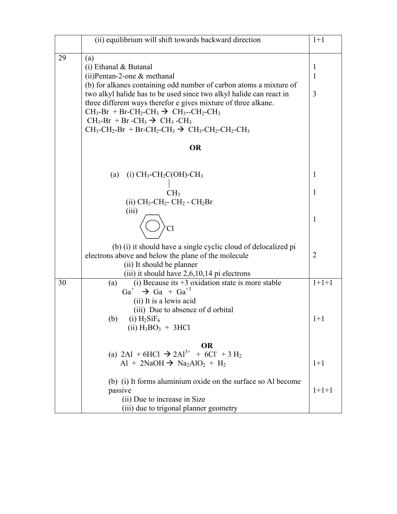|    | (ii) equilibrium will shift towards backward direction                                                         | $1+1$             |
|----|----------------------------------------------------------------------------------------------------------------|-------------------|
|    |                                                                                                                |                   |
| 29 | (a)                                                                                                            |                   |
|    | $(i)$ Ethanal & Butanal<br>$(ii)$ Pentan-2-one & methanal                                                      | $\mathbf{1}$<br>1 |
|    | (b) for alkanes containing odd number of carbon atoms a mixture of                                             |                   |
|    | two alkyl halide has to be used since two alkyl halide can react in                                            | 3                 |
|    | three different ways therefor e gives mixture of three alkane.                                                 |                   |
|    | $CH_3-Br + Br-CH_2-CH_3 \rightarrow CH_3-CH_2-CH_2$                                                            |                   |
|    | $CH_3-Br + Br - CH_3 \rightarrow CH_3 - CH_3$                                                                  |                   |
|    | $CH_3\text{-}CH_2\text{-}Br + Br\text{-}CH_2\text{-}CH_3 \rightarrow CH_3\text{-}CH_2\text{-}CH_2\text{-}CH_3$ |                   |
|    | <b>OR</b>                                                                                                      |                   |
|    |                                                                                                                |                   |
|    | (i) $CH_3$ -CH <sub>2</sub> C(OH)-CH <sub>3</sub><br>(a)                                                       | 1                 |
|    | CH <sub>3</sub>                                                                                                | 1                 |
|    | (ii) $CH_3$ -CH <sub>2</sub> - CH <sub>2</sub> - CH <sub>2</sub> Br                                            |                   |
|    | (iii)                                                                                                          |                   |
|    |                                                                                                                | 1                 |
|    |                                                                                                                |                   |
|    | (b) (i) it should have a single cyclic cloud of delocalized pi                                                 |                   |
|    | electrons above and below the plane of the molecule                                                            | $\overline{2}$    |
|    | (ii) It should be planner                                                                                      |                   |
|    | $(iii)$ it should have 2,6,10,14 pi electrons                                                                  |                   |
| 30 | (i) Because its $+3$ oxidation state is more stable<br>(a)                                                     | $1+1+1$           |
|    | $Ga+$<br>$\rightarrow$ Ga + Ga <sup>+3</sup>                                                                   |                   |
|    | (ii) It is a lewis acid<br>(iii) Due to absence of d orbital                                                   |                   |
|    | $(i)$ H <sub>2</sub> SiF <sub>6</sub><br>(b)                                                                   | $1+1$             |
|    | $(ii) H_3BO_3 + 3HCl$                                                                                          |                   |
|    | <b>OR</b>                                                                                                      |                   |
|    | (a) 2A1 + 6HCl $\rightarrow$ 2Al <sup>3+</sup> + 6Cl + 3 H <sub>2</sub>                                        |                   |
|    | $Al + 2NaOH \rightarrow Na2AlO2 + H2$                                                                          | $1+1$             |
|    |                                                                                                                |                   |
|    | (b) (i) It forms aluminium oxide on the surface so Al become<br>passive                                        | $1+1+1$           |
|    | (ii) Due to increase in Size                                                                                   |                   |
|    | (iii) due to trigonal planner geometry                                                                         |                   |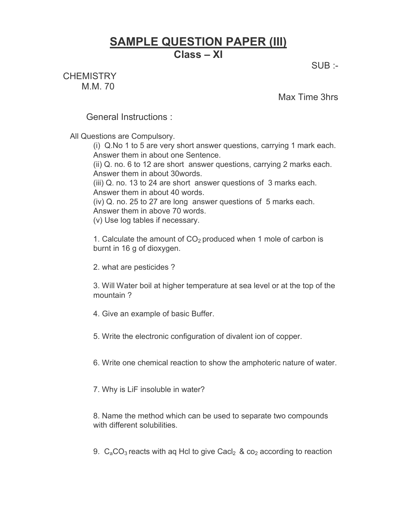# **SAMPLE QUESTION PAPER (III) Class – XI**

SUB :-

**CHEMISTRY** M.M. 70

Max Time 3hrs

General Instructions :

All Questions are Compulsory.

(i) Q.No 1 to 5 are very short answer questions, carrying 1 mark each. Answer them in about one Sentence.

(ii) Q. no. 6 to 12 are short answer questions, carrying 2 marks each. Answer them in about 30words.

(iii) Q. no. 13 to 24 are short answer questions of 3 marks each. Answer them in about 40 words.

(iv) Q. no. 25 to 27 are long answer questions of 5 marks each. Answer them in above 70 words.

(v) Use log tables if necessary.

1. Calculate the amount of  $CO<sub>2</sub>$  produced when 1 mole of carbon is burnt in 16 g of dioxygen.

2. what are pesticides ?

3. Will Water boil at higher temperature at sea level or at the top of the mountain ?

4. Give an example of basic Buffer.

5. Write the electronic configuration of divalent ion of copper.

6. Write one chemical reaction to show the amphoteric nature of water.

7. Why is LiF insoluble in water?

8. Name the method which can be used to separate two compounds with different solubilities.

9.  $C_aCO_3$  reacts with ag Hcl to give Cacl<sub>2</sub> & co<sub>2</sub> according to reaction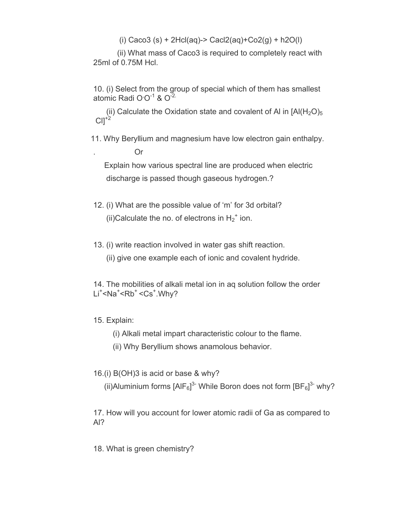(i) Caco3 (s) + 2Hcl(aq)-> Cacl2(aq)+Co2(g) + h2O(l)

(ii) What mass of Caco3 is required to completely react with 25ml of 0.75M Hcl.

10. (i) Select from the group of special which of them has smallest atomic Radi O $O^{-1}$  &  $O^{-2}$ .

(ii) Calculate the Oxidation state and covalent of Al in  $[A|(H_2O)_5]$  $ClI^{+2}$ 

11. Why Beryllium and magnesium have low electron gain enthalpy.

. Or Explain how various spectral line are produced when electric discharge is passed though gaseous hydrogen.?

- 12. (i) What are the possible value of 'm' for 3d orbital? (ii)Calculate the no. of electrons in  $H_2^+$  ion.
- 13. (i) write reaction involved in water gas shift reaction.
	- (ii) give one example each of ionic and covalent hydride.

14. The mobilities of alkali metal ion in aq solution follow the order Li<sup>+</sup><Na<sup>+</sup><Rb<sup>+</sup> <Cs<sup>+</sup>.Why?

- 15. Explain:
	- (i) Alkali metal impart characteristic colour to the flame.
	- (ii) Why Beryllium shows anamolous behavior.
- 16.(i) B(OH)3 is acid or base & why?

(ii)Aluminium forms  $[AlF_6]^3$ <sup>-</sup> While Boron does not form  $[BF_6]^3$ <sup>-</sup> why?

17. How will you account for lower atomic radii of Ga as compared to Al?

18. What is green chemistry?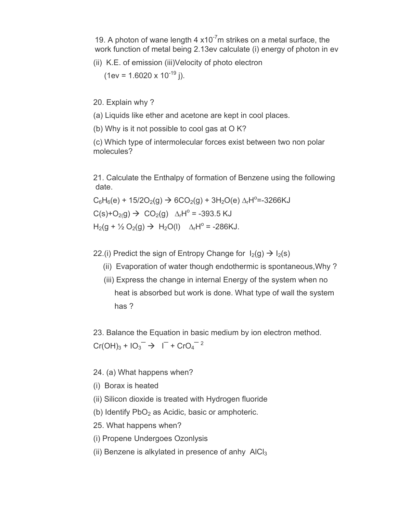19. A photon of wane length 4  $x10^{-7}$ m strikes on a metal surface, the work function of metal being 2.13ev calculate (i) energy of photon in ev

(ii) K.E. of emission (iii)Velocity of photo electron

 $(1 \text{ev} = 1.6020 \times 10^{-19} \text{ i}).$ 

20. Explain why ?

(a) Liquids like ether and acetone are kept in cool places.

(b) Why is it not possible to cool gas at O K?

(c) Which type of intermolecular forces exist between two non polar molecules?

21. Calculate the Enthalpy of formation of Benzene using the following date.

 $C_6H_6(e) + 15/2O_2(g) \rightarrow 6CO_2(g) + 3H_2O(e) \Delta_rH^2 = -3266KJ$ 

 $C(s)+O_{2}(g) \rightarrow CO_{2}(g)$   $\Delta_{r}H^{\circ} = -393.5$  KJ

 $H_2(g + \frac{1}{2}O_2(g)$  →  $H_2O(l)$   $\Delta_rH^o$  = -286KJ.

22.(i) Predict the sign of Entropy Change for  $I_2(g) \rightarrow I_2(s)$ 

- (ii) Evaporation of water though endothermic is spontaneous,Why ?
- (iii) Express the change in internal Energy of the system when no heat is absorbed but work is done. What type of wall the system has ?

23. Balance the Equation in basic medium by ion electron method.  $Cr(OH)<sub>3</sub> + IO<sub>3</sub><sup>-</sup> \rightarrow I<sup>-</sup> + CrO<sub>4</sub><sup>-2</sup>$ 

- 24. (a) What happens when?
- (i) Borax is heated
- (ii) Silicon dioxide is treated with Hydrogen fluoride
- (b) Identify  $PbO<sub>2</sub>$  as Acidic, basic or amphoteric.
- 25. What happens when?
- (i) Propene Undergoes Ozonlysis
- (ii) Benzene is alkylated in presence of anhy  $\text{AlCl}_3$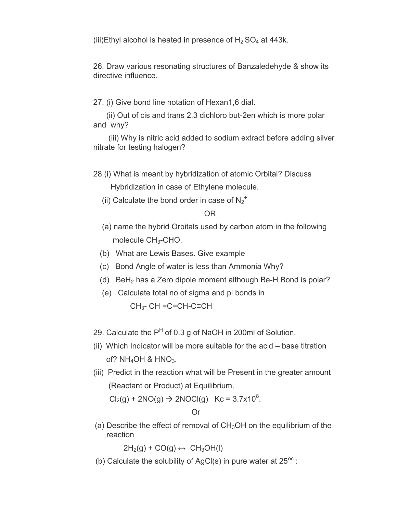(iii)Ethyl alcohol is heated in presence of  $H_2$  SO<sub>4</sub> at 443k.

26. Draw various resonating structures of Banzaledehyde & show its directive influence.

27. (i) Give bond line notation of Hexan1,6 dial.

(ii) Out of cis and trans 2,3 dichloro but-2en which is more polar and why?

(iii) Why is nitric acid added to sodium extract before adding silver nitrate for testing halogen?

28.(i) What is meant by hybridization of atomic Orbital? Discuss

Hybridization in case of Ethylene molecule.

(ii) Calculate the bond order in case of  $N_2^+$ 

OR

- (a) name the hybrid Orbitals used by carbon atom in the following molecule  $CH<sub>3</sub>$ -CHO.
- (b) What are Lewis Bases. Give example
- (c) Bond Angle of water is less than Ammonia Why?
- (d) BeH<sub>2</sub> has a Zero dipole moment although Be-H Bond is polar?
- (e) Calculate total no of sigma and pi bonds in  $CH<sub>3</sub>$ - CH =C=CH-C≡CH
- 29. Calculate the  $P<sup>H</sup>$  of 0.3 g of NaOH in 200ml of Solution.
- (ii) Which Indicator will be more suitable for the acid base titration of?  $NH_4OH$  &  $HNO_3$ .
- (iii) Predict in the reaction what will be Present in the greater amount (Reactant or Product) at Equilibrium.

 $Cl_2(g) + 2NO(g) \rightarrow 2NOCl(g)$  Kc = 3.7x10<sup>8</sup>.

Or

(a) Describe the effect of removal of  $CH<sub>3</sub>OH$  on the equilibrium of the reaction

 $2H_2(g) + CO(g) \leftrightarrow CH_3OH(I)$ 

(b) Calculate the solubility of AgCl(s) in pure water at  $25^{\circ}$ .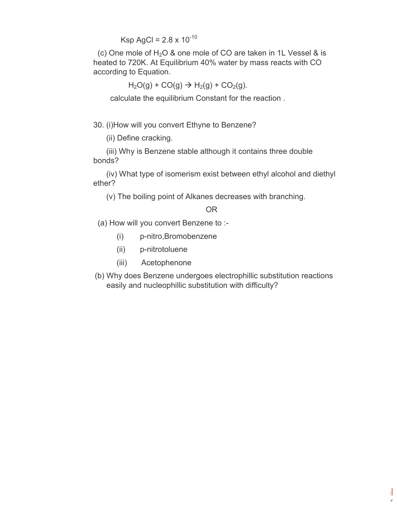Ksp AgCl =  $2.8 \times 10^{-10}$ 

(c) One mole of  $H_2O$  & one mole of CO are taken in 1L Vessel & is heated to 720K. At Equilibrium 40% water by mass reacts with CO according to Equation.

 $H<sub>2</sub>O(q) + CO(q) \rightarrow H<sub>2</sub>(q) + CO<sub>2</sub>(q)$ .

calculate the equilibrium Constant for the reaction .

30. (i)How will you convert Ethyne to Benzene?

(ii) Define cracking.

(iii) Why is Benzene stable although it contains three double bonds?

(iv) What type of isomerism exist between ethyl alcohol and diethyl ether?

(v) The boiling point of Alkanes decreases with branching.

OR

(a) How will you convert Benzene to :-

- (i) p-nitro,Bromobenzene
- (ii) p-nitrotoluene
- (iii) Acetophenone
- (b) Why does Benzene undergoes electrophillic substitution reactions easily and nucleophillic substitution with difficulty?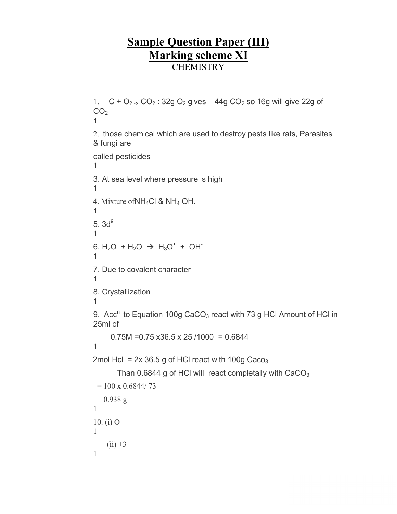## **Sample Question Paper (III) Marking scheme XI CHEMISTRY**

1.  $C + O_2 \rightarrow CO_2$ : 32g  $O_2$  gives  $-44g$  CO<sub>2</sub> so 16g will give 22g of  $CO<sub>2</sub>$ 1 2. those chemical which are used to destroy pests like rats, Parasites & fungi are called pesticides 1 3. At sea level where pressure is high 1 4. Mixture ofNH4Cl & NH4 OH. 1 5.  $3d^{9}$ 1 6.  $H_2O + H_2O \rightarrow H_3O^+ + OH^-$ 1 7. Due to covalent character 1 8. Crystallization 1 9. Acc<sup>n</sup> to Equation 100g CaCO<sub>3</sub> react with 73 g HCl Amount of HCl in 25ml of  $0.75M = 0.75 \times 36.5 \times 25 / 1000 = 0.6844$ 1 2mol Hcl =  $2x$  36.5 g of HCl react with 100g Caco<sub>3</sub> Than  $0.6844$  g of HCl will react completally with  $CaCO<sub>3</sub>$  $= 100 \times 0.6844 / 73$  $= 0.938$  g 1 10. (i) O

```
1
   (ii) +31
```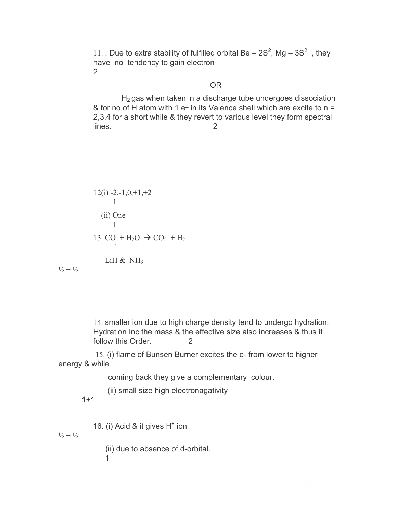11. Due to extra stability of fulfilled orbital Be  $-2S^2$ , Mg  $-3S^2$ , they have no tendency to gain electron 2

### OR

 $H<sub>2</sub>$  gas when taken in a discharge tube undergoes dissociation & for no of H atom with 1 e- in its Valence shell which are excite to  $n =$ 2,3,4 for a short while & they revert to various level they form spectral lines. 2

$$
12(i) -2, -1, 0, +1, +2
$$
  
1  
(ii) One  
1  
13. CO + H<sub>2</sub>O  $\rightarrow$  CO<sub>2</sub> + H<sub>2</sub>  
1  
LiH & NH<sub>3</sub>

$$
\textcolor{blue}{\textbf{1}\textbf{1}}\textcolor{blue}{\textbf{2}}+\textcolor{blue}{\textbf{1}\textbf{1}}\textcolor{blue}{\textbf{2}}
$$

14. smaller ion due to high charge density tend to undergo hydration. Hydration Inc the mass & the effective size also increases & thus it follow this Order. 2

15. (i) flame of Bunsen Burner excites the e- from lower to higher energy & while

coming back they give a complementary colour.

(ii) small size high electronagativity

1+1

16. (i) Acid & it gives  $H^+$  ion

 $\frac{1}{2} + \frac{1}{2}$ 

(ii) due to absence of d-orbital. 1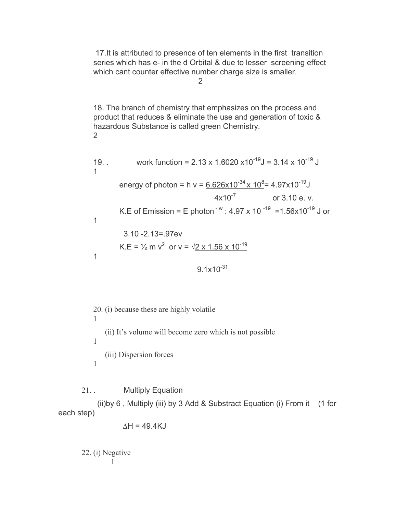17.It is attributed to presence of ten elements in the first transition series which has e- in the d Orbital & due to lesser screening effect which cant counter effective number charge size is smaller.

2

18. The branch of chemistry that emphasizes on the process and product that reduces & eliminate the use and generation of toxic & hazardous Substance is called green Chemistry. 2

19.   
 work function = 2.13 x 1.6020 x10<sup>-19</sup>J = 3.14 x 10<sup>-19</sup> J  
1  
energy of photon = h v = 
$$
\frac{6.626 \times 10^{-34} \times 10^8}{4 \times 10^{-7}}
$$
 or 3.10 e. v.  
K.E of Emission = E photon<sup>-w</sup> : 4.97 x 10<sup>-19</sup> =1.56x10<sup>-19</sup> J or  
3.10 -2.13=.97ev  
K.E =  $\frac{1}{2}$  m v<sup>2</sup> or v =  $\sqrt{2}$  x 1.56 x 10<sup>-19</sup>  
9.1x10<sup>-31</sup>

20. (i) because these are highly volatile 1 (ii) It's volume will become zero which is not possible 1 (iii) Dispersion forces 1

21. . Multiply Equation

(ii)by 6 , Multiply (iii) by 3 Add & Substract Equation (i) From it (1 for each step)

$$
\Delta H = 49.4 \text{KJ}
$$

22. (i) Negative 1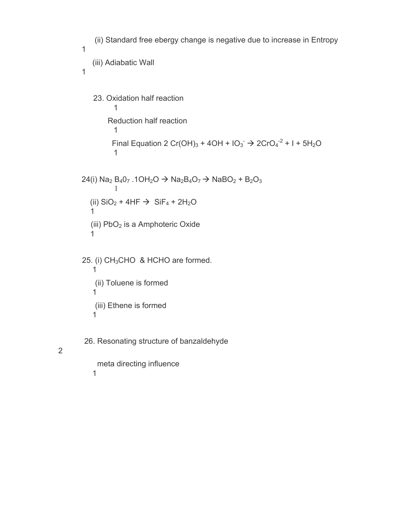```
(ii) Standard free ebergy change is negative due to increase in Entropy
1
    (iii) Adiabatic Wall
1
    23. Oxidation half reaction
             1
          Reduction half reaction
             1
             Final Equation 2 Cr(OH)<sub>3</sub> + 4OH + IO_3^- \rightarrow 2CrO<sub>4</sub><sup>-2</sup> + l + 5H<sub>2</sub>O
             1
24(i) Na<sub>2</sub> B<sub>4</sub>0<sub>7</sub> .1OH<sub>2</sub>O \rightarrow Na<sub>2</sub>B<sub>4</sub>O<sub>7</sub> \rightarrow NaBO<sub>2</sub> + B<sub>2</sub>O<sub>3</sub>
              1
   (ii) SiO_2 + 4HF \rightarrow SiF_4 + 2H_2O1
   (iii) PbO<sub>2</sub> is a Amphoteric Oxide
   1
25. (i) CH<sub>3</sub>CHO & HCHO are formed.
    1
     (ii) Toluene is formed
    1
     (iii) Ethene is formed
    1
 26. Resonating structure of banzaldehyde
```
meta directing influence 1

2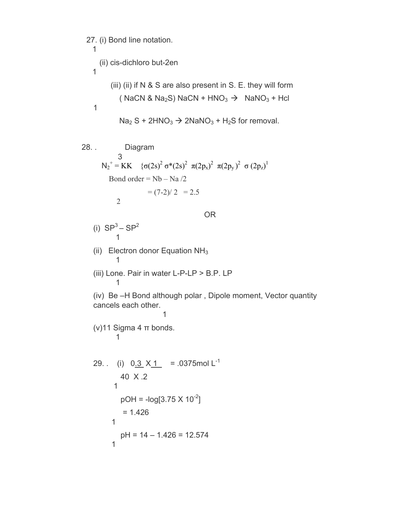27. (i) Bond line notation. 1 (ii) cis-dichloro but-2en 1 (iii) (ii) if  $N \& S$  are also present in  $S$ . E. they will form ( NaCN & Na<sub>2</sub>S) NaCN + HNO<sub>3</sub>  $\rightarrow$  NaNO<sub>3</sub> + Hcl 1  $Na<sub>2</sub> S + 2HNO<sub>3</sub> \rightarrow 2NaNO<sub>3</sub> + H<sub>2</sub>S$  for removal. 28. . Diagram 3 N<sub>2</sub><sup>+</sup> = KK {σ(2s)<sup>2</sup> σ\*(2s)<sup>2</sup> π(2p<sub>x</sub>)<sup>2</sup> π(2p<sub>y</sub>)<sup>2</sup> σ (2p<sub>z</sub>)<sup>1</sup> Bond order =  $Nb - Na/2$  $= (7-2)/2 = 2.5$ 2 OR (i)  $SP<sup>3</sup> - SP<sup>2</sup>$ 1 (ii) Electron donor Equation  $NH<sub>3</sub>$ 1 (iii) Lone. Pair in water L-P-LP > B.P. LP 1 (iv) Be –H Bond although polar , Dipole moment, Vector quantity cancels each other. 1 (v)11 Sigma 4 π bonds. 1 29. . (i)  $0.\overline{3} \times \overline{1}$  = .0375 mol L<sup>-1</sup> 40 X .2 1  $pOH = -log[3.75 \times 10^{-2}]$  $= 1.426$ 1  $pH = 14 - 1.426 = 12.574$ 1